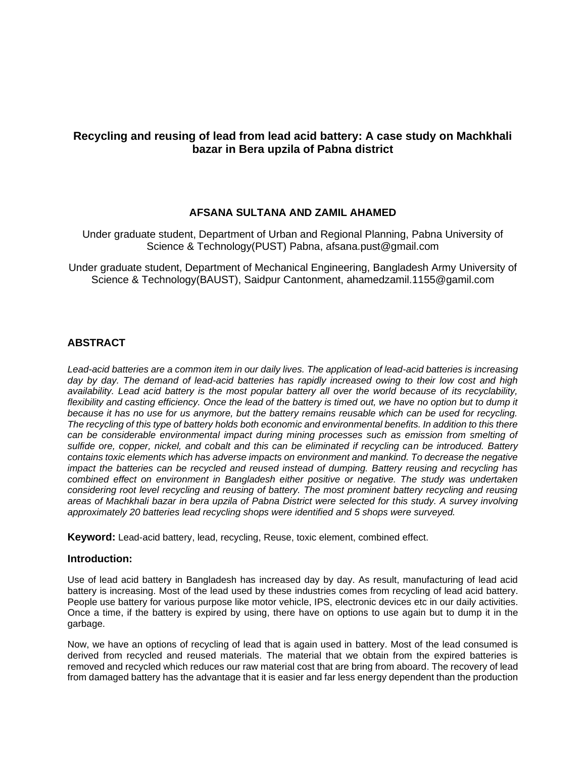# **Recycling and reusing of lead from lead acid battery: A case study on Machkhali bazar in Bera upzila of Pabna district**

## **AFSANA SULTANA AND ZAMIL AHAMED**

Under graduate student, Department of Urban and Regional Planning, Pabna University of Science & Technology(PUST) Pabna, [afsana.pust@gmail.com](mailto:afsana.pust@gmail.com)

Under graduate student, Department of Mechanical Engineering, Bangladesh Army University of Science & Technology(BAUST), Saidpur Cantonment, ahamedzamil.1155@gamil.com

## **ABSTRACT**

*[Lead-acid batteries](https://www.ecomena.org/managing-lead-acid-batteries/) are a common item in our daily lives. The application of lead-acid batteries is increasing day by day. The demand of lead-acid batteries has rapidly increased owing to their low cost and high availability. Lead acid battery is the most popular battery all over the world because of its recyclability,*  flexibility and casting efficiency. Once the lead of the battery is timed out, we have no option but to dump it *because it has no use for us anymore, but the battery remains reusable which can be used for recycling. The [recycling of this type of battery](https://www.bioenergyconsult.com/recycling-lead-acid-batteries/) holds both economic and environmental benefits. In addition to this there can be considerable environmental impact during mining processes such as emission from smelting of sulfide ore, copper, nickel, and cobalt and this can be eliminated if recycling can be introduced. Battery contains toxic elements which has adverse impacts on environment and mankind. To decrease the negative impact the batteries can be recycled and reused instead of dumping. Battery reusing and recycling has combined effect on environment in Bangladesh either positive or negative. The study was undertaken considering root level recycling and reusing of battery. The most prominent battery recycling and reusing areas of Machkhali bazar in bera upzila of Pabna District were selected for this study. A survey involving approximately 20 batteries lead recycling shops were identified and 5 shops were surveyed.*

**Keyword:** [Lead-acid battery,](http://journals.sagepub.com/keyword/Lead-acid+Battery) [lead,](http://journals.sagepub.com/keyword/Lead) [recycling,](http://journals.sagepub.com/keyword/Recycling) Reuse, toxic element, combined effect.

### **Introduction:**

Use of lead acid battery in Bangladesh has increased day by day. As result, manufacturing of lead acid battery is increasing. Most of the lead used by these industries comes from recycling of lead acid battery. People use battery for various purpose like motor vehicle, IPS, electronic devices etc in our daily activities. Once a time, if the battery is expired by using, there have on options to use again but to dump it in the garbage.

Now, we have an options of recycling of lead that is again used in battery. Most of the lead consumed is derived from recycled and reused materials. The material that we obtain from the expired batteries is removed and recycled which reduces our raw material cost that are bring from aboard. The recovery of lead from damaged battery has the advantage that it is easier and far less energy dependent than the production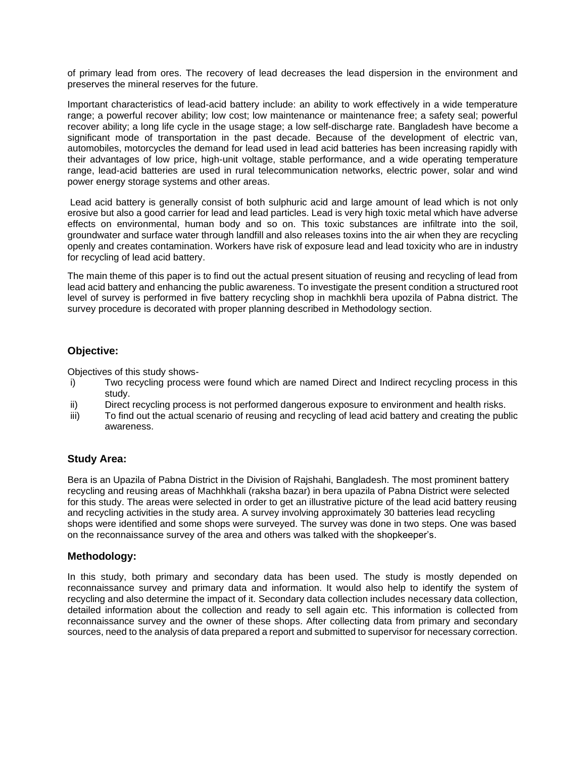of primary lead from ores. The recovery of lead decreases the lead dispersion in the environment and preserves the mineral reserves for the future.

Important characteristics of lead-acid battery include: an ability to work effectively in a wide temperature range; a powerful recover ability; low cost; low maintenance or maintenance free; a safety seal; powerful recover ability; a long life cycle in the usage stage; a low self-discharge rate. Bangladesh have become a significant mode of transportation in the past decade. Because of the development of electric van, automobiles, motorcycles the demand for lead used in lead acid batteries has been increasing rapidly with their advantages of low price, high-unit voltage, stable performance, and a wide operating temperature range, lead-acid batteries are used in rural telecommunication networks, electric power, solar and wind power energy storage systems and other areas.

Lead acid battery is generally consist of both sulphuric acid and large amount of lead which is not only erosive but also a good carrier for lead and lead particles. Lead is very high toxic metal which have adverse effects on environmental, human body and so on. This toxic substances are infiltrate into the soil, groundwater and surface water through landfill and also releases toxins into the air when they are recycling openly and creates contamination. Workers have risk of exposure lead and lead toxicity who are in industry for recycling of lead acid battery.

The main theme of this paper is to find out the actual present situation of reusing and recycling of lead from lead acid battery and enhancing the public awareness. To investigate the present condition a structured root level of survey is performed in five battery recycling shop in machkhli bera upozila of Pabna district. The survey procedure is decorated with proper planning described in Methodology section.

## **Objective:**

Objectives of this study shows-

- i) Two recycling process were found which are named Direct and Indirect recycling process in this study.
- ii) Direct recycling process is not performed dangerous exposure to environment and health risks.
- iii) To find out the actual scenario of reusing and recycling of lead acid battery and creating the public awareness.

## **Study Area:**

Bera is an [Upazila](https://en.wikipedia.org/wiki/Upazila) of [Pabna District](https://en.wikipedia.org/wiki/Pabna_District) in the Division of [Rajshahi,](https://en.wikipedia.org/wiki/Rajshahi_Division) [Bangladesh.](https://en.wikipedia.org/wiki/Bangladesh) The most prominent battery recycling and reusing areas of Machhkhali (raksha bazar) in bera upazila of Pabna District were selected for this study. The areas were selected in order to get an illustrative picture of the lead acid battery reusing and recycling activities in the study area. A survey involving approximately 30 batteries lead recycling shops were identified and some shops were surveyed. The survey was done in two steps. One was based on the reconnaissance survey of the area and others was talked with the shopkeeper's.

## **Methodology:**

In this study, both primary and secondary data has been used. The study is mostly depended on reconnaissance survey and primary data and information. It would also help to identify the system of recycling and also determine the impact of it. Secondary data collection includes necessary data collection, detailed information about the collection and ready to sell again etc. This information is collected from reconnaissance survey and the owner of these shops. After collecting data from primary and secondary sources, need to the analysis of data prepared a report and submitted to supervisor for necessary correction.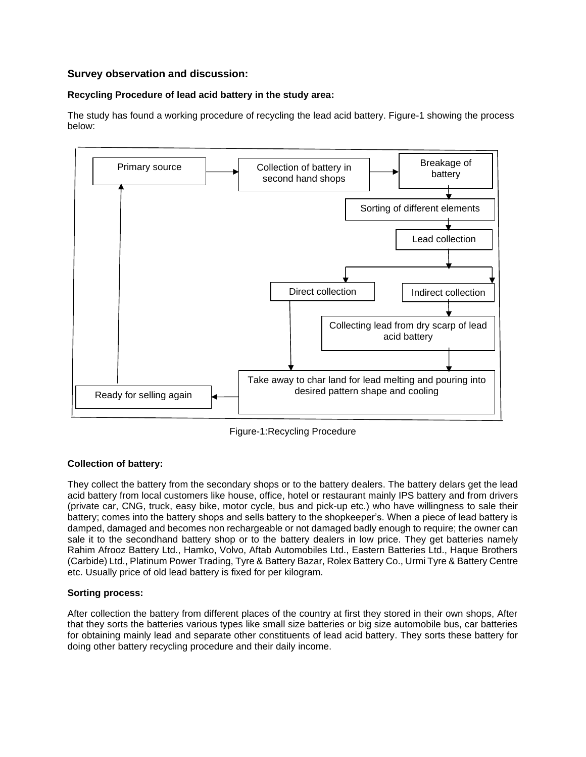# **Survey observation and discussion:**

## **Recycling Procedure of lead acid battery in the study area:**

The study has found a working procedure of recycling the lead acid battery. Figure-1 showing the process below:



Figure-1:Recycling Procedure

## **Collection of battery:**

They collect the battery from the secondary shops or to the battery dealers. The battery delars get the lead acid battery from local customers like house, office, hotel or restaurant mainly IPS battery and from drivers (private car, CNG, truck, easy bike, motor cycle, bus and pick-up etc.) who have willingness to sale their battery; comes into the battery shops and sells battery to the shopkeeper's. When a piece of lead battery is damped, damaged and becomes non rechargeable or not damaged badly enough to require; the owner can sale it to the secondhand battery shop or to the battery dealers in low price. They get batteries namely Rahim Afrooz Battery Ltd., Hamko, Volvo, Aftab Automobiles Ltd., Eastern Batteries Ltd., Haque Brothers (Carbide) Ltd., Platinum Power Trading, Tyre & Battery Bazar, Rolex Battery Co., Urmi Tyre & Battery Centre etc. Usually price of old lead battery is fixed for per kilogram.

### **Sorting process:**

After collection the battery from different places of the country at first they stored in their own shops, After that they sorts the batteries various types like small size batteries or big size automobile bus, car batteries for obtaining mainly lead and separate other constituents of lead acid battery. They sorts these battery for doing other battery recycling procedure and their daily income.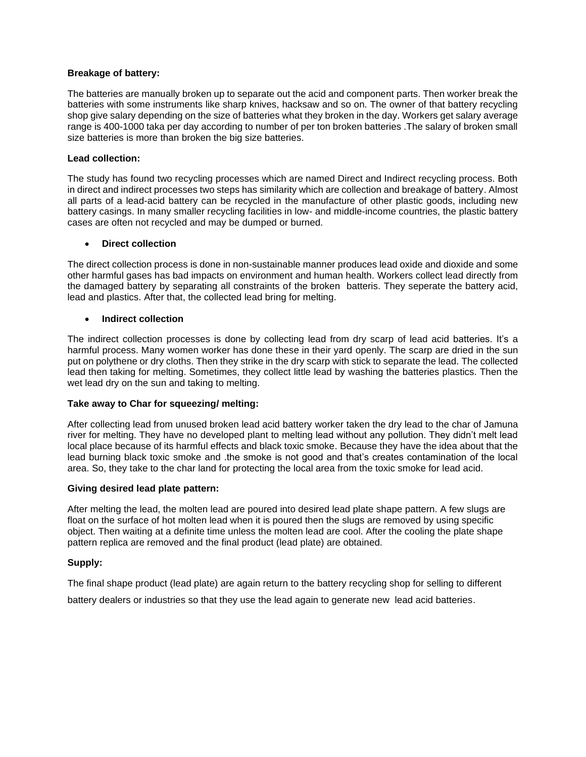### **Breakage of battery:**

The batteries are manually broken up to separate out the acid and component parts. Then worker break the batteries with some instruments like sharp knives, hacksaw and so on. The owner of that battery recycling shop give salary depending on the size of batteries what they broken in the day. Workers get salary average range is 400-1000 taka per day according to number of per ton broken batteries .The salary of broken small size batteries is more than broken the big size batteries.

#### **Lead collection:**

The study has found two recycling processes which are named Direct and Indirect recycling process. Both in direct and indirect processes two steps has similarity which are collection and breakage of battery. Almost all parts of a lead-acid battery can be recycled in the manufacture of other plastic goods, including new battery casings. In many smaller recycling facilities in low- and middle-income countries, the plastic battery cases are often not recycled and may be dumped or burned.

#### • **Direct collection**

The direct collection process is done in non-sustainable manner produces lead oxide and dioxide and some other harmful gases has bad impacts on environment and human health. Workers collect lead directly from the damaged battery by separating all constraints of the broken batteris. They seperate the battery acid, lead and plastics. After that, the collected lead bring for melting.

#### • **Indirect collection**

The indirect collection processes is done by collecting lead from dry scarp of lead acid batteries. It's a harmful process. Many women worker has done these in their yard openly. The scarp are dried in the sun put on polythene or dry cloths. Then they strike in the dry scarp with stick to separate the lead. The collected lead then taking for melting. Sometimes, they collect little lead by washing the batteries plastics. Then the wet lead dry on the sun and taking to melting.

#### **Take away to Char for squeezing/ melting:**

After collecting lead from unused broken lead acid battery worker taken the dry lead to the char of Jamuna river for melting. They have no developed plant to melting lead without any pollution. They didn't melt lead local place because of its harmful effects and black toxic smoke. Because they have the idea about that the lead burning black toxic smoke and .the smoke is not good and that's creates contamination of the local area. So, they take to the char land for protecting the local area from the toxic smoke for lead acid.

#### **Giving desired lead plate pattern:**

After melting the lead, the molten lead are poured into desired lead plate shape pattern. A few slugs are float on the surface of hot molten lead when it is poured then the slugs are removed by using specific object. Then waiting at a definite time unless the molten lead are cool. After the cooling the plate shape pattern replica are removed and the final product (lead plate) are obtained.

### **Supply:**

The final shape product (lead plate) are again return to the battery recycling shop for selling to different

battery dealers or industries so that they use the lead again to generate new lead acid batteries.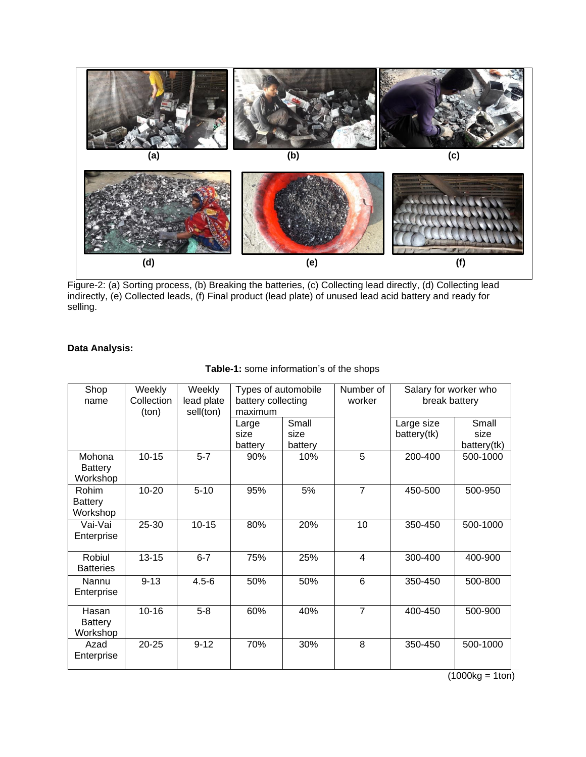

Figure-2: (a) Sorting process, (b) Breaking the batteries, (c) Collecting lead directly, (d) Collecting lead indirectly, (e) Collected leads, (f) Final product (lead plate) of unused lead acid battery and ready for selling.

# **Data Analysis:**

| Shop<br>name                         | Weekly<br>Collection<br>(ton) | Weekly<br>lead plate<br>sell(ton) | Types of automobile<br>battery collecting<br>maximum |                          | Number of<br>worker | Salary for worker who<br>break battery |                              |
|--------------------------------------|-------------------------------|-----------------------------------|------------------------------------------------------|--------------------------|---------------------|----------------------------------------|------------------------------|
|                                      |                               |                                   | Large<br>size<br>battery                             | Small<br>size<br>battery |                     | Large size<br>battery(tk)              | Small<br>size<br>battery(tk) |
| Mohona<br><b>Battery</b><br>Workshop | $10 - 15$                     | $5 - 7$                           | 90%                                                  | 10%                      | 5                   | 200-400                                | 500-1000                     |
| <b>Rohim</b><br>Battery<br>Workshop  | $10 - 20$                     | $5 - 10$                          | 95%                                                  | 5%                       | $\overline{7}$      | 450-500                                | 500-950                      |
| Vai-Vai<br>Enterprise                | 25-30                         | $10 - 15$                         | 80%                                                  | 20%                      | 10                  | 350-450                                | 500-1000                     |
| Robiul<br><b>Batteries</b>           | $13 - 15$                     | $6 - 7$                           | 75%                                                  | 25%                      | 4                   | 300-400                                | 400-900                      |
| Nannu<br>Enterprise                  | $9 - 13$                      | $4.5 - 6$                         | 50%                                                  | 50%                      | 6                   | 350-450                                | 500-800                      |
| Hasan<br><b>Battery</b><br>Workshop  | $10 - 16$                     | $5-8$                             | 60%                                                  | 40%                      | $\overline{7}$      | 400-450                                | 500-900                      |
| Azad<br>Enterprise                   | $20 - 25$                     | $9 - 12$                          | 70%                                                  | 30%                      | 8                   | 350-450                                | 500-1000                     |

# **Table-1:** some information's of the shops

 $(1000kg = 1ton)$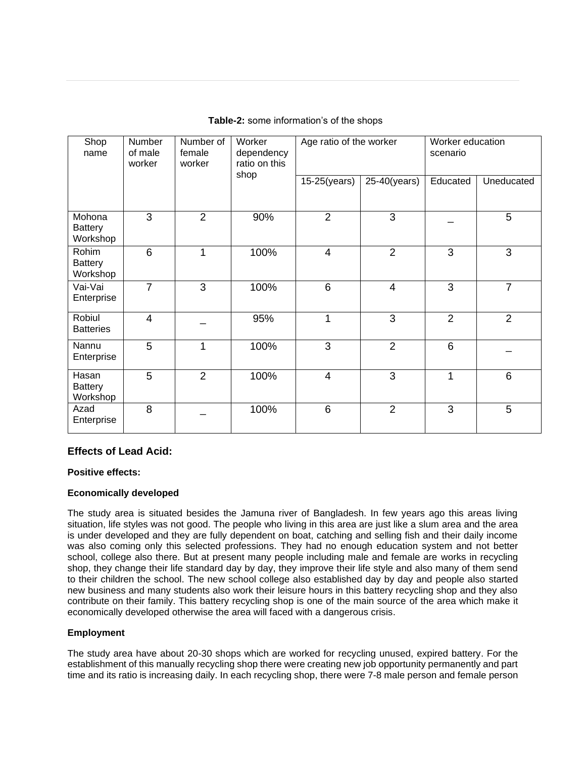| Shop<br>name                         | Number<br>of male<br>worker | Number of<br>female<br>worker | Worker<br>dependency<br>ratio on this<br>shop | Age ratio of the worker |                          | Worker education<br>scenario |                |
|--------------------------------------|-----------------------------|-------------------------------|-----------------------------------------------|-------------------------|--------------------------|------------------------------|----------------|
|                                      |                             |                               |                                               | $15-25(years)$          | 25-40(years)             | Educated                     | Uneducated     |
| Mohona<br><b>Battery</b><br>Workshop | 3                           | 2                             | 90%                                           | $\overline{2}$          | 3                        |                              | 5              |
| Rohim<br><b>Battery</b><br>Workshop  | 6                           | 1                             | 100%                                          | $\overline{4}$          | $\overline{2}$           | 3                            | 3              |
| Vai-Vai<br>Enterprise                | $\overline{7}$              | 3                             | 100%                                          | 6                       | $\overline{\mathcal{L}}$ | 3                            | $\overline{7}$ |
| Robiul<br><b>Batteries</b>           | $\overline{4}$              |                               | 95%                                           | 1                       | 3                        | $\overline{2}$               | $\overline{2}$ |
| Nannu<br>Enterprise                  | 5                           | 1                             | 100%                                          | 3                       | $\overline{2}$           | 6                            |                |
| Hasan<br><b>Battery</b><br>Workshop  | 5                           | $\overline{2}$                | 100%                                          | $\overline{4}$          | 3                        | 1                            | 6              |
| Azad<br>Enterprise                   | 8                           |                               | 100%                                          | 6                       | $\overline{2}$           | 3                            | 5              |

### **Table-2:** some information's of the shops

## **Effects of Lead Acid:**

### **Positive effects:**

### **Economically developed**

The study area is situated besides the Jamuna river of Bangladesh. In few years ago this areas living situation, life styles was not good. The people who living in this area are just like a slum area and the area is under developed and they are fully dependent on boat, catching and selling fish and their daily income was also coming only this selected professions. They had no enough education system and not better school, college also there. But at present many people including male and female are works in recycling shop, they change their life standard day by day, they improve their life style and also many of them send to their children the school. The new school college also established day by day and people also started new business and many students also work their leisure hours in this battery recycling shop and they also contribute on their family. This battery recycling shop is one of the main source of the area which make it economically developed otherwise the area will faced with a dangerous crisis.

### **Employment**

The study area have about 20-30 shops which are worked for recycling unused, expired battery. For the establishment of this manually recycling shop there were creating new job opportunity permanently and part time and its ratio is increasing daily. In each recycling shop, there were 7-8 male person and female person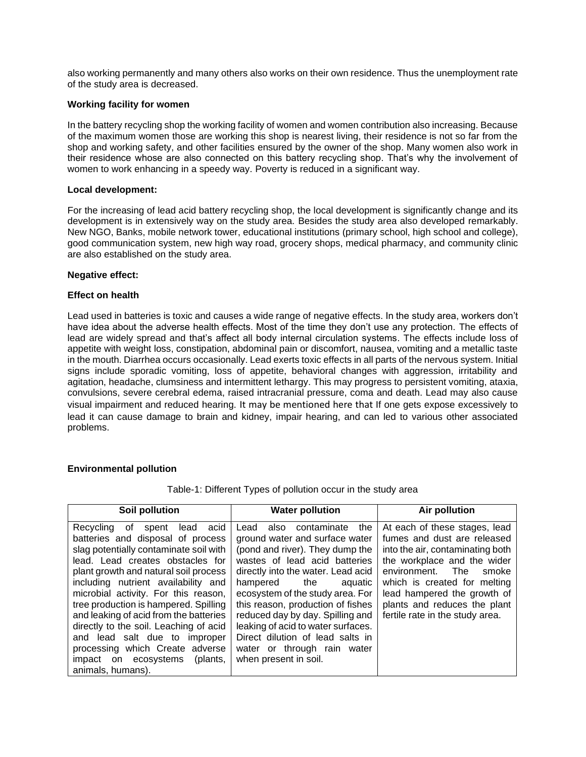also working permanently and many others also works on their own residence. Thus the unemployment rate of the study area is decreased.

### **Working facility for women**

In the battery recycling shop the working facility of women and women contribution also increasing. Because of the maximum women those are working this shop is nearest living, their residence is not so far from the shop and working safety, and other facilities ensured by the owner of the shop. Many women also work in their residence whose are also connected on this battery recycling shop. That's why the involvement of women to work enhancing in a speedy way. Poverty is reduced in a significant way.

### **Local development:**

For the increasing of lead acid battery recycling shop, the local development is significantly change and its development is in extensively way on the study area. Besides the study area also developed remarkably. New NGO, Banks, mobile network tower, educational institutions (primary school, high school and college), good communication system, new high way road, grocery shops, medical pharmacy, and community clinic are also established on the study area.

### **Negative effect:**

### **Effect on health**

Lead used in batteries is toxic and causes a wide range of negative effects. In the study area, workers don't have idea about the adverse health effects. Most of the time they don't use any protection. The effects of lead are widely spread and that's affect all body internal circulation systems. The effects include loss of appetite with weight loss, constipation, abdominal pain or discomfort, nausea, vomiting and a metallic taste in the mouth. Diarrhea occurs occasionally. Lead exerts toxic effects in all parts of the nervous system. Initial signs include sporadic vomiting, loss of appetite, behavioral changes with aggression, irritability and agitation, headache, clumsiness and intermittent lethargy. This may progress to persistent vomiting, ataxia, convulsions, severe cerebral edema, raised intracranial pressure, coma and death. Lead may also cause visual impairment and reduced hearing. It may be mentioned here that If one gets expose excessively to lead it can cause damage to brain and kidney, impair hearing, and can led to various other associated problems.

## **Environmental pollution**

| Soil pollution                                                                                                                                                                                                                                                                                                                                                                                                                                                                                                                                | <b>Water pollution</b>                                                                                                                                                                                                                                                                                                                                                                                                                                   | <b>Air pollution</b>                                                                                                                                                                                                                                                                                |
|-----------------------------------------------------------------------------------------------------------------------------------------------------------------------------------------------------------------------------------------------------------------------------------------------------------------------------------------------------------------------------------------------------------------------------------------------------------------------------------------------------------------------------------------------|----------------------------------------------------------------------------------------------------------------------------------------------------------------------------------------------------------------------------------------------------------------------------------------------------------------------------------------------------------------------------------------------------------------------------------------------------------|-----------------------------------------------------------------------------------------------------------------------------------------------------------------------------------------------------------------------------------------------------------------------------------------------------|
| acid<br>Recycling<br>lead<br>of<br>spent<br>batteries and disposal of process<br>slag potentially contaminate soil with<br>lead. Lead creates obstacles for<br>plant growth and natural soil process<br>including nutrient availability and<br>microbial activity. For this reason,<br>tree production is hampered. Spilling<br>and leaking of acid from the batteries<br>directly to the soil. Leaching of acid<br>and lead salt due to improper<br>processing which Create adverse<br>impact on ecosystems<br>(plants,<br>animals, humans). | also contaminate<br>the<br>Lead<br>ground water and surface water<br>(pond and river). They dump the<br>wastes of lead acid batteries<br>directly into the water. Lead acid<br>hampered<br>the<br>aquatic<br>ecosystem of the study area. For<br>this reason, production of fishes<br>reduced day by day. Spilling and<br>leaking of acid to water surfaces.<br>Direct dilution of lead salts in<br>water or through rain water<br>when present in soil. | At each of these stages, lead<br>fumes and dust are released<br>into the air, contaminating both<br>the workplace and the wider<br>environment.<br>- The<br>smoke<br>which is created for melting<br>lead hampered the growth of<br>plants and reduces the plant<br>fertile rate in the study area. |

Table-1: Different Types of pollution occur in the study area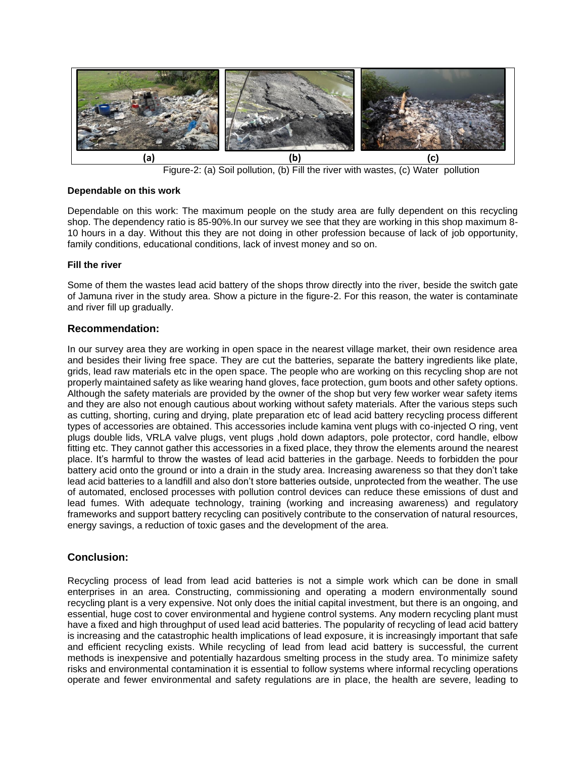

Figure-2: (a) Soil pollution, (b) Fill the river with wastes, (c) Water pollution

### **Dependable on this work**

Dependable on this work: The maximum people on the study area are fully dependent on this recycling shop. The dependency ratio is 85-90%.In our survey we see that they are working in this shop maximum 8- 10 hours in a day. Without this they are not doing in other profession because of lack of job opportunity, family conditions, educational conditions, lack of invest money and so on.

### **Fill the river**

Some of them the wastes lead acid battery of the shops throw directly into the river, beside the switch gate of Jamuna river in the study area. Show a picture in the figure-2. For this reason, the water is contaminate and river fill up gradually.

## **Recommendation:**

In our survey area they are working in open space in the nearest village market, their own residence area and besides their living free space. They are cut the batteries, separate the battery ingredients like plate, grids, lead raw materials etc in the open space. The people who are working on this recycling shop are not properly maintained safety as like wearing hand gloves, face protection, gum boots and other safety options. Although the safety materials are provided by the owner of the shop but very few worker wear safety items and they are also not enough cautious about working without safety materials. After the various steps such as cutting, shorting, curing and drying, plate preparation etc of lead acid battery recycling process different types of accessories are obtained. This accessories include kamina vent plugs with co-injected O ring, vent plugs double lids, VRLA valve plugs, vent plugs ,hold down adaptors, pole protector, cord handle, elbow fitting etc. They cannot gather this accessories in a fixed place, they throw the elements around the nearest place. It's harmful to throw the wastes of lead acid batteries in the garbage. Needs to forbidden the pour battery acid onto the ground or into a drain in the study area. Increasing awareness so that they don't take lead acid batteries to a landfill and also don't store batteries outside, unprotected from the weather. The use of automated, enclosed processes with pollution control devices can reduce these emissions of dust and lead fumes. With adequate technology, training (working and increasing awareness) and regulatory frameworks and support battery recycling can positively contribute to the conservation of natural resources, energy savings, a reduction of toxic gases and the development of the area.

# **Conclusion:**

Recycling process of lead from lead acid batteries is not a simple work which can be done in small enterprises in an area. Constructing, commissioning and operating a modern environmentally sound recycling plant is a very expensive. Not only does the initial capital investment, but there is an ongoing, and essential, huge cost to cover environmental and hygiene control systems. Any modern recycling plant must have a fixed and high throughput of used lead acid batteries. The popularity of recycling of lead acid battery is increasing and the catastrophic health implications of lead exposure, it is increasingly important that safe and efficient recycling exists. While recycling of lead from lead acid battery is successful, the current methods is inexpensive and potentially hazardous smelting process in the study area. To minimize safety risks and environmental contamination it is essential to follow systems where informal recycling operations operate and fewer environmental and safety regulations are in place, the health are severe, leading to